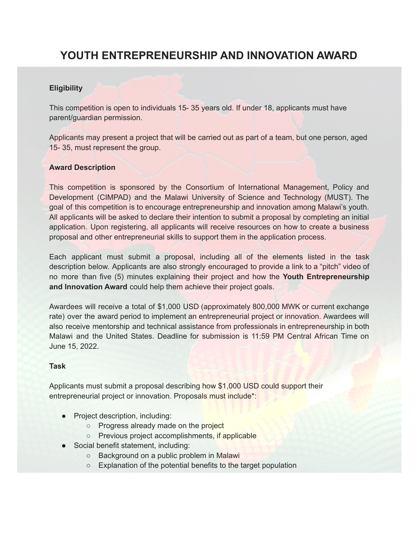# **YOUTH ENTREPRENEURSHIP AND INNOVATION AWARD**

## **Eligibility**

This competition is open to individuals 15- 35 years old. If under 18, applicants must have parent/guardian permission.

Applicants may present a project that will be carried out as part of a team, but one person, aged 15- 35, must represent the group.

# **Award Description**

This competition is sponsored by the Consortium of International Management, Policy and Development (CIMPAD) and the Malawi University of Science and Technology (MUST). The goal of this competition is to encourage entrepreneurship and innovation among Malawi's youth. All applicants will be asked to declare their intention to submit a proposal by completing an initial application. Upon registering, all applicants will receive resources on how to create a business proposal and other entrepreneurial skills to support them in the application process.

Each applicant must submit a proposal, including all of the elements listed in the task description below. Applicants are also strongly encouraged to provide a link to a "pitch" video of no more than five (5) minutes explaining their project and how the **Youth Entrepreneurship and Innovation Award** could help them achieve their project goals.

Awardees will receive a total of \$1,000 USD (approximately 800,000 MWK or current exchange rate) over the award period to implement an entrepreneurial project or innovation. Awardees will also receive mentorship and technical assistance from professionals in entrepreneurship in both Malawi and the United States. Deadline for submission is 11:59 PM Central African Time on June 15, 2022.

## **Task**

Applicants must submit a proposal describing how \$1,000 USD could support their entrepreneurial project or innovation. Proposals must include\*:

- Project description, including:
	- o Progress already made on the project
	- Previous project accomplishments, if applicable
- Social benefit statement, including:
	- Background on a public problem in Malawi
	- Explanation of the potential benefits to the target population